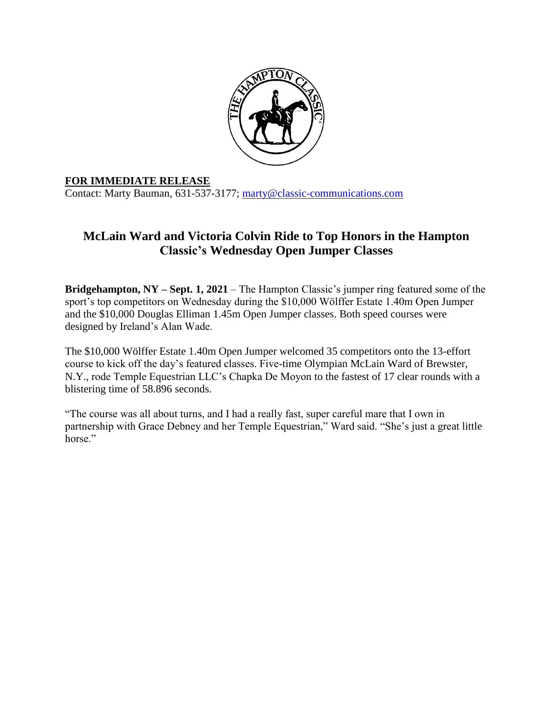

## **FOR IMMEDIATE RELEASE**

Contact: Marty Bauman, 631-537-3177; [marty@classic-communications.com](about:blank)

## **McLain Ward and Victoria Colvin Ride to Top Honors in the Hampton Classic's Wednesday Open Jumper Classes**

**Bridgehampton, NY – Sept. 1, 2021** – The Hampton Classic's jumper ring featured some of the sport's top competitors on Wednesday during the \$10,000 Wölffer Estate 1.40m Open Jumper and the \$10,000 Douglas Elliman 1.45m Open Jumper classes. Both speed courses were designed by Ireland's Alan Wade.

The \$10,000 Wölffer Estate 1.40m Open Jumper welcomed 35 competitors onto the 13-effort course to kick off the day's featured classes. Five-time Olympian McLain Ward of Brewster, N.Y., rode Temple Equestrian LLC's Chapka De Moyon to the fastest of 17 clear rounds with a blistering time of 58.896 seconds.

"The course was all about turns, and I had a really fast, super careful mare that I own in partnership with Grace Debney and her Temple Equestrian," Ward said. "She's just a great little horse."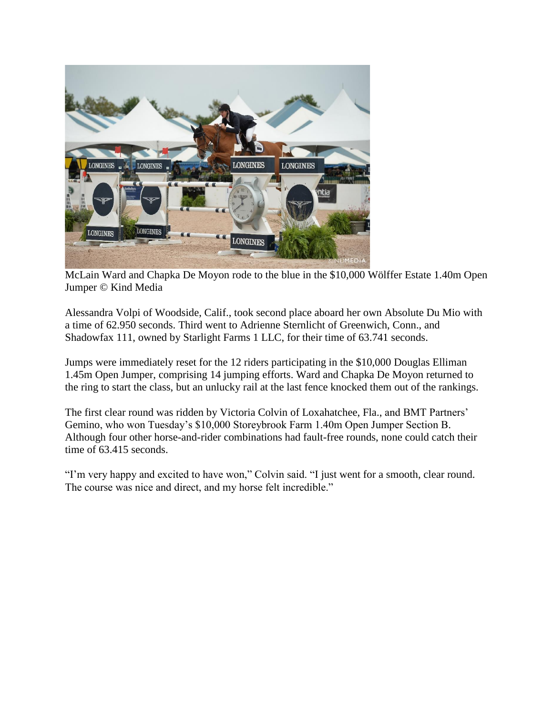

McLain Ward and Chapka De Moyon rode to the blue in the \$10,000 Wölffer Estate 1.40m Open Jumper © Kind Media

Alessandra Volpi of Woodside, Calif., took second place aboard her own Absolute Du Mio with a time of 62.950 seconds. Third went to Adrienne Sternlicht of Greenwich, Conn., and Shadowfax 111, owned by Starlight Farms 1 LLC, for their time of 63.741 seconds.

Jumps were immediately reset for the 12 riders participating in the \$10,000 Douglas Elliman 1.45m Open Jumper, comprising 14 jumping efforts. Ward and Chapka De Moyon returned to the ring to start the class, but an unlucky rail at the last fence knocked them out of the rankings.

The first clear round was ridden by Victoria Colvin of Loxahatchee, Fla., and BMT Partners' Gemino, who won Tuesday's \$10,000 Storeybrook Farm 1.40m Open Jumper Section B. Although four other horse-and-rider combinations had fault-free rounds, none could catch their time of 63.415 seconds.

"I'm very happy and excited to have won," Colvin said. "I just went for a smooth, clear round. The course was nice and direct, and my horse felt incredible."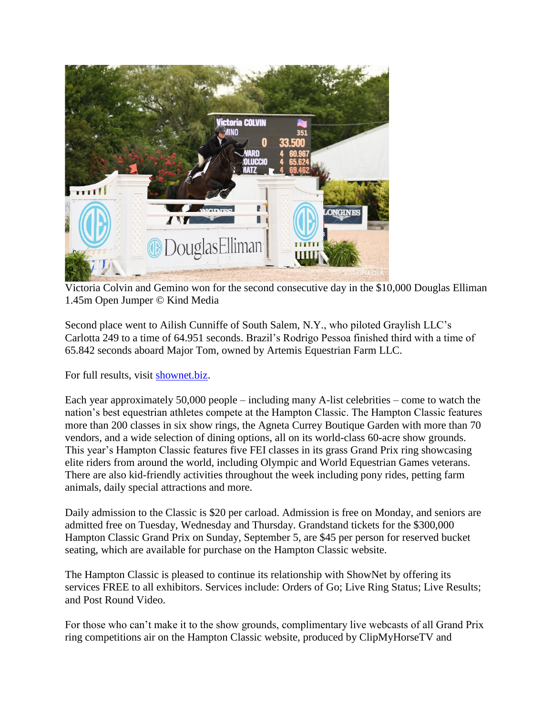

Victoria Colvin and Gemino won for the second consecutive day in the \$10,000 Douglas Elliman 1.45m Open Jumper © Kind Media

Second place went to Ailish Cunniffe of South Salem, N.Y., who piloted Graylish LLC's Carlotta 249 to a time of 64.951 seconds. Brazil's Rodrigo Pessoa finished third with a time of 65.842 seconds aboard Major Tom, owned by Artemis Equestrian Farm LLC.

For full results, visit [shownet.biz.](about:blank)

Each year approximately 50,000 people – including many A-list celebrities – come to watch the nation's best equestrian athletes compete at the Hampton Classic. The Hampton Classic features more than 200 classes in six show rings, the Agneta Currey Boutique Garden with more than 70 vendors, and a wide selection of dining options, all on its world-class 60-acre show grounds. This year's Hampton Classic features five FEI classes in its grass Grand Prix ring showcasing elite riders from around the world, including Olympic and World Equestrian Games veterans. There are also kid-friendly activities throughout the week including pony rides, petting farm animals, daily special attractions and more.

Daily admission to the Classic is \$20 per carload. Admission is free on Monday, and seniors are admitted free on Tuesday, Wednesday and Thursday. Grandstand tickets for the \$300,000 Hampton Classic Grand Prix on Sunday, September 5, are \$45 per person for reserved bucket seating, which are available for purchase on the Hampton Classic website.

The Hampton Classic is pleased to continue its relationship with ShowNet by offering its services FREE to all exhibitors. Services include: Orders of Go; Live Ring Status; Live Results; and Post Round Video.

For those who can't make it to the show grounds, complimentary live webcasts of all Grand Prix ring competitions air on the Hampton Classic website, produced by ClipMyHorseTV and